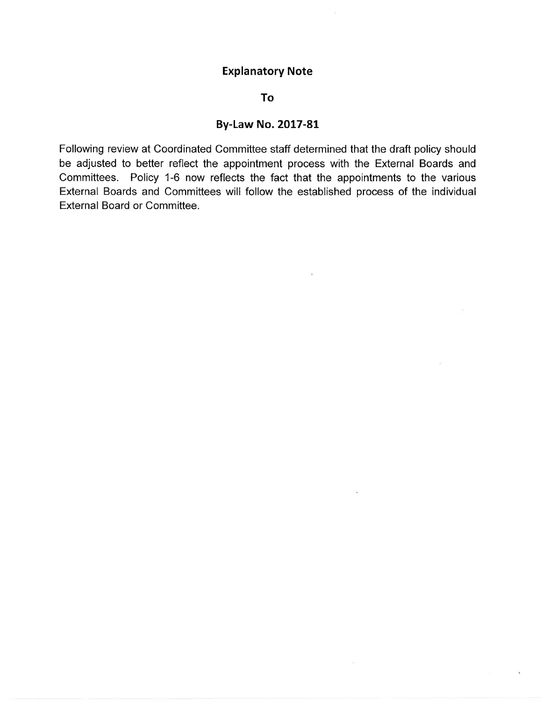# Explanatory Note

#### To

# By-Law No. 2017-81

Following review at Coordinated Committee staff determined that the draft policy should be adjusted to better reflect the appointment process with the External Boards and Committees. Policy 1-6 now reflects the fact that the appointments to the various External Boards and Committees will follow the established process of the individual External Board or Committee.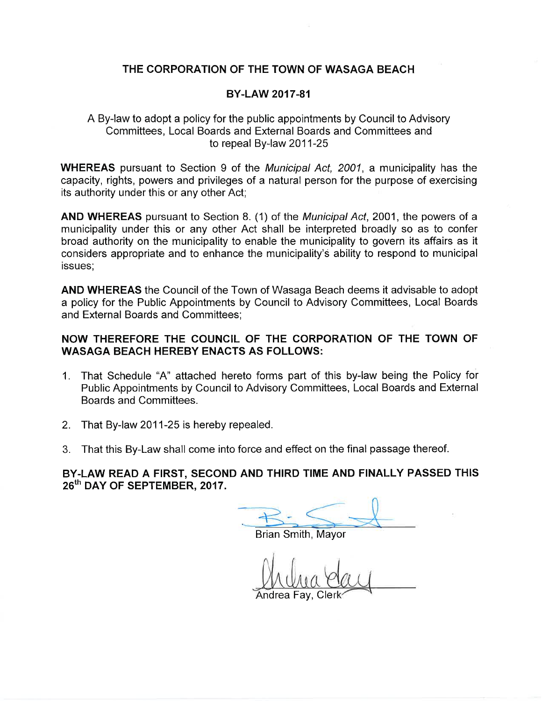## THE CORPORATION OF THE TOWN OF WASAGA BEACH

#### BY-LAW 2017-81

#### A By-law to adopt a policy for the public appointments by Council to Advisory Committees, Local Boards and External Boards and Committees and to repeal By-law 2011-25

WHEREAS pursuant to Section 9 of the *Municipal Act*, 2001, a municipality has the capacity, rights, powers and privileges of a natural person for the purpose of exercising its authority under this or any other Act;

AND WHEREAS pursuant to Section 8. (1) of the *Municipal Act*, 2001, the powers of a municipality under this or any other Act shall be interpreted broadly so as to confer broad authority on the municipality to enable the municipality to govern its affairs as it considers appropriate and to enhance the municipality's ability to respond to municipal issues;

AND WHEREAS the Council of the Town of Wasaga Beach deems it advisable to adopt a policy for the Public Appointments by Council to Advisory Committees, Local Boards and External Boards and Committees;

#### NOW THEREFORE THE COUNCIL OF THE CORPORATION OF THE TOWN OF WASAGA BEACH HEREBY ENACTS AS FOLLOWS:

- 1. That Schedule "4" attached hereto forms part of this by-law being the Policy for Public Appointments by Council to Advisory Committees, Local Boards and External Boards and Committees.
- 2. That By-law 2011-25 is hereby repealed.
- 3. That this By-Law shall come into force and effect on the final passage thereof.

BY.LAW READ A FIRST, SECOND AND THIRD TIME AND FINALLY PASSED THIS 26<sup>th</sup> DAY OF SEPTEMBER, 2017.

Brian Smith, Mayor

Andrea Fav.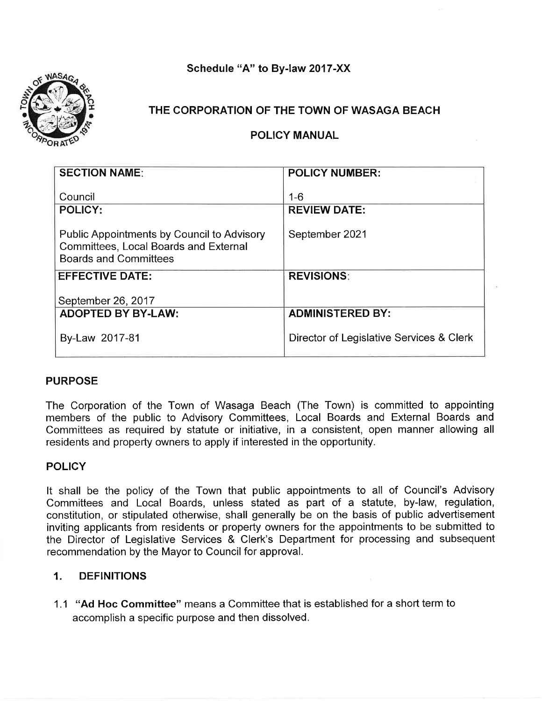Schedule "A" to By-law 2017-XX



## THE CORPORATION OF THE TOWN OF WASAGA BEACH

POLICY MANUAL

| <b>SECTION NAME:</b>                                                                                                | <b>POLICY NUMBER:</b>                    |
|---------------------------------------------------------------------------------------------------------------------|------------------------------------------|
| Council<br><b>POLICY:</b>                                                                                           | $1 - 6$<br><b>REVIEW DATE:</b>           |
| Public Appointments by Council to Advisory<br>Committees, Local Boards and External<br><b>Boards and Committees</b> | September 2021                           |
| <b>EFFECTIVE DATE:</b>                                                                                              | <b>REVISIONS:</b>                        |
| September 26, 2017                                                                                                  |                                          |
| <b>ADOPTED BY BY-LAW:</b>                                                                                           | <b>ADMINISTERED BY:</b>                  |
| By-Law 2017-81                                                                                                      | Director of Legislative Services & Clerk |

## PURPOSE

The Corporation of the Town of Wasaga Beach (The Town) is committed to appointing members of the public to Advisory Committees, Local Boards and External Boards and Committees as required by statute or initiative, in a consistent, open manner allowing all residents and property owners to apply if interested in the opportunity.

## **POLICY**

It shall be the policy of the Town that public appointments to all of Council's Advisory Committees and Local Boards, unless stated as part of a statute, by-law, regulation, constitution, or stipulated otherwise, shall generally be on the basis of public advertisement inviting applicants from residents or property owners for the appointments to be submitted to the Director of Legislative Services & Clerk's Department for processing and subsequent recommendation by the Mayor to Council for approval.

## 1. DEFINITIONS

1.1 "Ad Hoc Committee" means a Committee that is established for a short term to accomplish a specific purpose and then dissolved.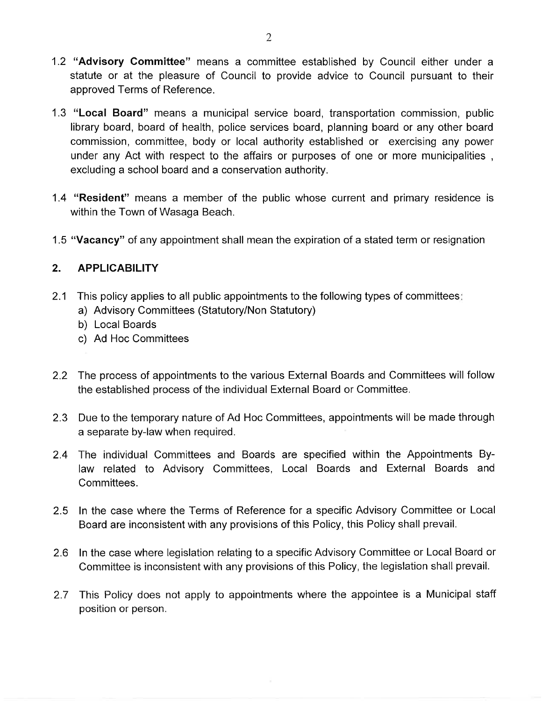- 1.2 "Advisory Committee" means a committee established by Council either under <sup>a</sup> statute or at the pleasure of Council to provide advice to Council pursuant to their approved Terms of Reference.
- 1.3 "Local Board" means a municipal service board, transportation commission, public library board, board of health, police services board, planning board or any other board commission, committee, body or local authority established or exercising any power under any Act with respect to the affairs or purposes of one or more municipalities , excluding a school board and a conservation authority.
- 1.4 "Resident" means a member of the public whose current and primary residence is within the Town of Wasaga Beach.
- 1.5 "Vacancy" of any appointment shall mean the expiration of a stated term or resignation

# 2. APPLICABILITY

- 2.1 This policy applies to all public appointments to the following types of committees:
	- a) Advisory Committees (Statutory/Non Statutory)
	- b) Local Boards
	- c) Ad Hoc Committees
- 2.2 The process of appointments to the various External Boards and Committees will follow the established process of the individual External Board or Committee,
- 2.3 Due to the temporary nature of Ad Hoc Committees, appointments will be made through a separate by-law when required.
- 2.4 The individual Committees and Boards are specified within the Appointments Bylaw related to Advisory Committees, Local Boards and External Boards and Committees.
- 2.5 ln the case where the Terms of Reference for a specific Advisory Committee or Local Board are inconsistent with any provisions of this Policy, this Policy shall prevail.
- 2.6 ln the case where legislation relating to a specific Advisory Committee or Local Board or Committee is inconsistent with any provisions of this Policy, the legislation shall prevail.
- 2.7 This Policy does not apply to appointments where the appointee is a Municipal staff position or person.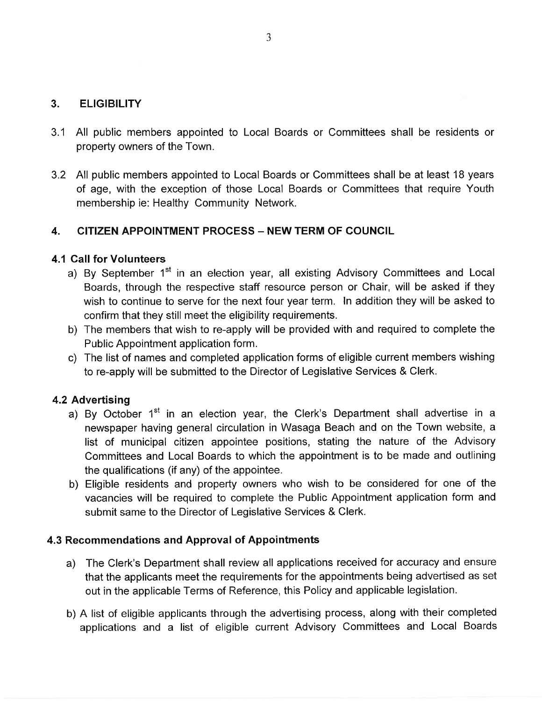# 3. ELIGIBILITY

- 3.1 All public members appointed to Local Boards or Committees shall be residents or property owners of the Town.
- 3.2 All public members appointed to Local Boards or Committees shall be at least 18 years of age, with the exception of those Local Boards or Committees that require Youth membership ie: Healthy Community Network.

## 4. CITIZEN APPOINTMENT PROCESS - NEW TERM OF COUNCIL

## 4.1 Call for Volunteers

- a) By September 1<sup>st</sup> in an election year, all existing Advisory Committees and Local Boards, through the respective staff resource person or Chair, will be asked if they wish to continue to serve for the next four year term. ln addition they will be asked to confirm that they still meet the eligibility requirements.
- b) The members that wish to re-apply will be provided with and required to complete the Public Appointment application form.
- c) The list of names and completed application forms of eligible current members wishing to re-apply will be submitted to the Director of Legislative Services & Clerk.

## 4.2 Advertising

- a) By October  $1<sup>st</sup>$  in an election year, the Clerk's Department shall advertise in a newspaper having general circulation in Wasaga Beach and on the Town website, a list of municipal citizen appointee positions, stating the nature of the Advisory Committees and Local Boards to which the appointment is to be made and outlining the qualifications (if any) of the appointee.
- b) Eligible residents and property owners who wish to be considered for one of the vacancies will be required to complete the Public Appointment application form and submit same to the Director of Legislative Services & Clerk.

## 4.3 Recommendations and Approval of Appointments

- a) The Clerk's Department shall review all applications received for accuracy and ensure that the applicants meet the requirements for the appointments being advertised as set out in the applicable Terms of Reference, this Policy and applicable legislation.
- b) A list of eligible applicants through the advertising process, along with their completed applications and a list of eligible current Advisory Committees and Local Boards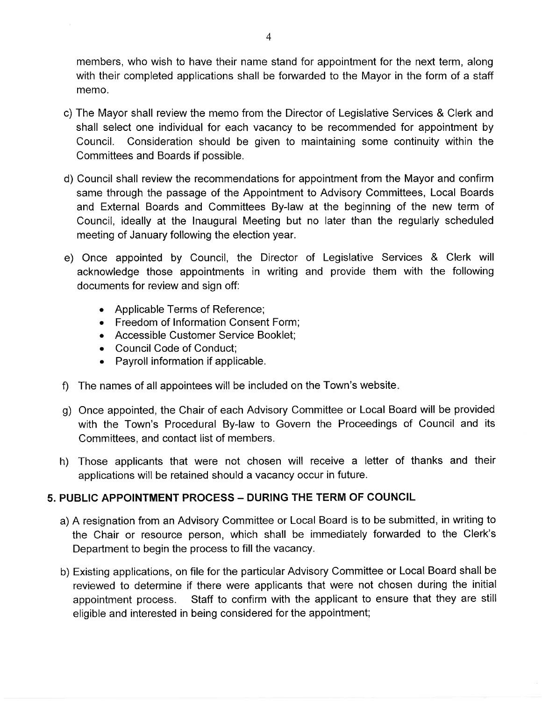members, who wish to have their name stand for appointment for the next term, along with their completed applications shall be forwarded to the Mayor in the form of a staff memo.

- c) The Mayor shall review the memo from the Director of Legislative Services & Clerk and shall select one individual for each vacancy to be recommended for appointment by Council. Consideration should be given to maintaining some continuity within the Committees and Boards if possible.
- d) Council shall review the recommendations for appointment from the Mayor and confirm same through the passage of the Appointment to Advisory Committees, Local Boards and External Boards and Committees By-law at the beginning of the new term of Council, ideally at the Inaugural Meeting but no later than the regularly scheduled meeting of January following the election year.
- e) Once appointed by Council, the Director of Legislative Services & Clerk will acknowledge those appointments in writing and provide them with the following documents for review and sign off:
	- . Applicable Terms of Reference;
	- . Freedom of lnformation Consent Form;
	- . Accessible Customer Service Booklet;
	- . Council Code of Conduct;
	- . Payroll information if applicable.
- f) The names of all appointees will be included on the Town's website
- g) Once appointed, the Chair of each Advisory Committee or Local Board will be provided with the Town's Procedural By-law to Govern the Proceedings of Council and its Committees, and contact list of members.
- h) Those applicants that were not chosen will receive a letter of thanks and their applications will be retained should a vacancy occur in future.

# 5. PUBLIC APPOINTMENT PROCESS - DURING THE TERM OF COUNCIL

- a) A resignation from an Advisory Committee or Local Board is to be submitted, in writing to the Chair or resource person, which shall be immediately forwarded to the Clerk's Department to begin the process to fill the vacancy.
- b) Existing applications, on file for the particular Advisory Committee or Local Board shall be reviewed to determine if there were applicants that were not chosen during the initial appointment process. Staff to confirm with the applicant to ensure that they are still eligible and interested in being considered for the appointment;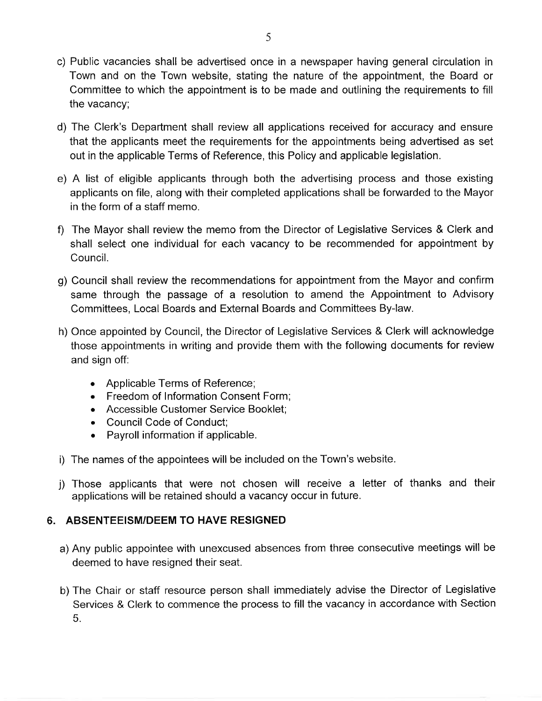- c) Public vacancies shall be advertised once in a newspaper having general circulation in Town and on the Town website, stating the nature of the appointment, the Board or Committee to which the appointment is to be made and outlining the requirements to fill the vacancy;
- d) The Clerk's Department shall review all applications received for accuracy and ensure that the applicants meet the requirements for the appointments being advertised as set out in the applicable Terms of Reference, this Policy and applicable legislation.
- e) A list of eligible applicants through both the advertising process and those existing applicants on file, along with their completed applications shall be forwarded to the Mayor in the form of a staff memo.
- 0 The Mayor shall review the memo from the Director of Legislative Services & Clerk and shall select one individual for each vacancy to be recommended for appointment by Council.
- g) Council shall review the recommendations for appointment from the Mayor and confirm same through the passage of a resolution to amend the Appointment to Advisory Committees, Local Boards and External Boards and Committees By-law.
- h) Once appointed by Council, the Director of Legislative Services & Clerk will acknowledge those appointments in writing and provide them with the following documents for review and sign off:
	- . Applicable Terms of Reference;
	- . Freedom of lnformation Consent Form;
	- . Accessible Customer Service Booklet;
	- . Council Code of Conduct;
	- . Payroll information if applicable.
- i) The names of the appointees will be included on the Town's website.
- j) Those applicants that were not chosen will receive a letter of thanks and their applications will be retained should a vacancy occur in future.

# 6. ABSENTEEISM/DEEM TO HAVE RESIGNED

- a) Any public appointee with unexcused absences from three consecutive meetings will be deemed to have resigned their seat.
- b) The Chair or staff resource person shall immediately advise the Director of Legislative Services & Clerk to commence the process to fill the vacancy in accordance with Section 5.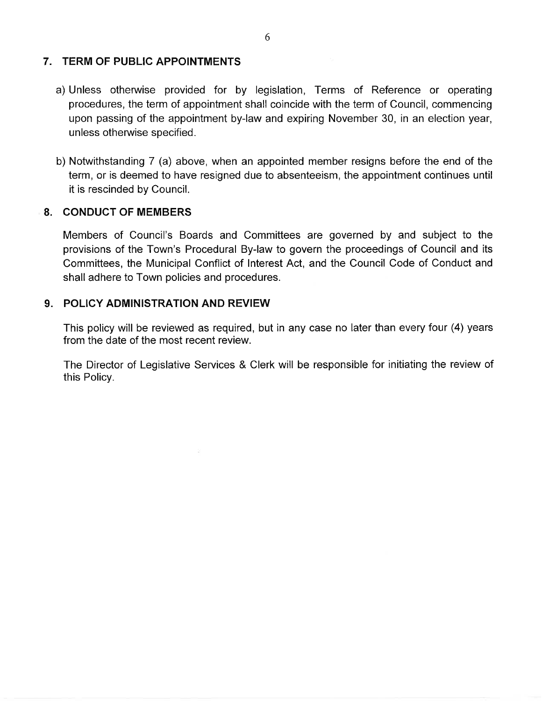## 7. TERM OF PUBLIC APPOINTMENTS

- a) Unless otherwise provided for by legislation, Terms of Reference or operating procedures, the term of appointment shall coincide with the term of Council, commencing upon passing of the appointment by-law and expiring November 30, in an election year, unless otherwise specified.
- b) Notwithstanding 7 (a) above, when an appointed member resigns before the end of the term, or is deemed to have resigned due to absenteeism, the appointment continues until it is rescinded by Council,

## 8. GONDUCT OF MEMBERS

Members of Council's Boards and Committees are governed by and subject to the provisions of the Town's Procedural By-law to govern the proceedings of Council and its Committees, the Municipal Conflict of lnterest Act, and the Council Code of Conduct and shall adhere to Town policies and procedures.

#### 9. POLICY ADMINISTRATION AND REVIEW

This policy will be reviewed as required, but in any case no later than every four (4) years from the date of the most recent review.

The Director of Legislative Services & Clerk will be responsible for initiating the review of this Policy.